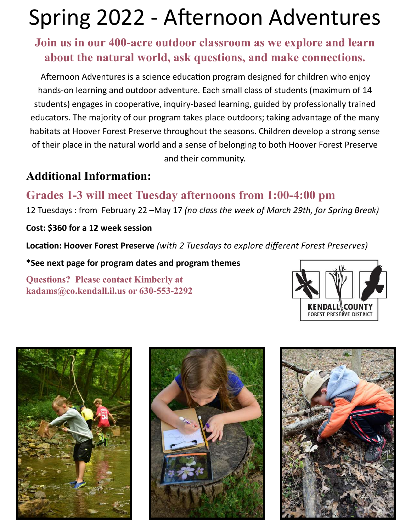# Spring 2022 - Afternoon Adventures

#### **Join us in our 400-acre outdoor classroom as we explore and learn about the natural world, ask questions, and make connections.**

Afternoon Adventures is a science education program designed for children who enjoy hands-on learning and outdoor adventure. Each small class of students (maximum of 14 students) engages in cooperative, inquiry-based learning, guided by professionally trained educators. The majority of our program takes place outdoors; taking advantage of the many habitats at Hoover Forest Preserve throughout the seasons. Children develop a strong sense of their place in the natural world and a sense of belonging to both Hoover Forest Preserve and their community.

#### **Additional Information:**

### **Grades 1-3 will meet Tuesday afternoons from 1:00-4:00 pm**

12 Tuesdays : from February 22 –May 17 *(no class the week of March 29th, for Spring Break)* 

**Cost: \$360 for a 12 week session** 

**Location: Hoover Forest Preserve** *(with 2 Tuesdays to explore different Forest Preserves)*

**\*See next page for program dates and program themes**

**Questions? Please contact Kimberly at kadams@co.kendall.il.us or 630-553-2292**







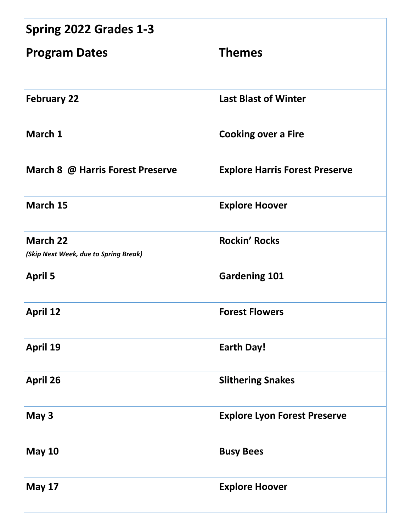| Spring 2022 Grades 1-3                                   |                                       |
|----------------------------------------------------------|---------------------------------------|
| <b>Program Dates</b>                                     | <b>Themes</b>                         |
| <b>February 22</b>                                       | <b>Last Blast of Winter</b>           |
| March 1                                                  | <b>Cooking over a Fire</b>            |
| March 8 @ Harris Forest Preserve                         | <b>Explore Harris Forest Preserve</b> |
| March 15                                                 | <b>Explore Hoover</b>                 |
| <b>March 22</b><br>(Skip Next Week, due to Spring Break) | <b>Rockin' Rocks</b>                  |
| <b>April 5</b>                                           | <b>Gardening 101</b>                  |
| <b>April 12</b>                                          | <b>Forest Flowers</b>                 |
| <b>April 19</b>                                          | <b>Earth Day!</b>                     |
| <b>April 26</b>                                          | <b>Slithering Snakes</b>              |
| May 3                                                    | <b>Explore Lyon Forest Preserve</b>   |
| <b>May 10</b>                                            | <b>Busy Bees</b>                      |
| <b>May 17</b>                                            | <b>Explore Hoover</b>                 |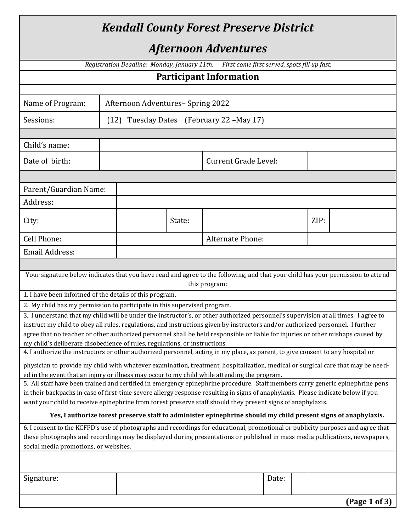| <b>Kendall County Forest Preserve District</b>                                                                                                                                                                                                                                                                                                                                                          |  |                                              |        |                                              |       |      |               |
|---------------------------------------------------------------------------------------------------------------------------------------------------------------------------------------------------------------------------------------------------------------------------------------------------------------------------------------------------------------------------------------------------------|--|----------------------------------------------|--------|----------------------------------------------|-------|------|---------------|
| <i><b>Afternoon Adventures</b></i>                                                                                                                                                                                                                                                                                                                                                                      |  |                                              |        |                                              |       |      |               |
|                                                                                                                                                                                                                                                                                                                                                                                                         |  | Registration Deadline: Monday, January 11th. |        | First come first served, spots fill up fast. |       |      |               |
|                                                                                                                                                                                                                                                                                                                                                                                                         |  |                                              |        | <b>Participant Information</b>               |       |      |               |
|                                                                                                                                                                                                                                                                                                                                                                                                         |  |                                              |        |                                              |       |      |               |
| Name of Program:                                                                                                                                                                                                                                                                                                                                                                                        |  | Afternoon Adventures- Spring 2022            |        |                                              |       |      |               |
| Sessions:                                                                                                                                                                                                                                                                                                                                                                                               |  |                                              |        | (12) Tuesday Dates (February 22 – May 17)    |       |      |               |
| Child's name:                                                                                                                                                                                                                                                                                                                                                                                           |  |                                              |        |                                              |       |      |               |
| Date of birth:                                                                                                                                                                                                                                                                                                                                                                                          |  |                                              |        | Current Grade Level:                         |       |      |               |
|                                                                                                                                                                                                                                                                                                                                                                                                         |  |                                              |        |                                              |       |      |               |
| Parent/Guardian Name:                                                                                                                                                                                                                                                                                                                                                                                   |  |                                              |        |                                              |       |      |               |
| Address:                                                                                                                                                                                                                                                                                                                                                                                                |  |                                              |        |                                              |       |      |               |
| City:                                                                                                                                                                                                                                                                                                                                                                                                   |  |                                              | State: |                                              |       | ZIP: |               |
| Cell Phone:                                                                                                                                                                                                                                                                                                                                                                                             |  |                                              |        | Alternate Phone:                             |       |      |               |
| Email Address:                                                                                                                                                                                                                                                                                                                                                                                          |  |                                              |        |                                              |       |      |               |
|                                                                                                                                                                                                                                                                                                                                                                                                         |  |                                              |        |                                              |       |      |               |
| Your signature below indicates that you have read and agree to the following, and that your child has your permission to attend<br>this program:                                                                                                                                                                                                                                                        |  |                                              |        |                                              |       |      |               |
| 1. I have been informed of the details of this program.                                                                                                                                                                                                                                                                                                                                                 |  |                                              |        |                                              |       |      |               |
| 2. My child has my permission to participate in this supervised program.                                                                                                                                                                                                                                                                                                                                |  |                                              |        |                                              |       |      |               |
| 3. I understand that my child will be under the instructor's, or other authorized personnel's supervision at all times. I agree to<br>instruct my child to obey all rules, regulations, and instructions given by instructors and/or authorized personnel. I further<br>agree that no teacher or other authorized personnel shall be held responsible or liable for injuries or other mishaps caused by |  |                                              |        |                                              |       |      |               |
| my child's deliberate disobedience of rules, regulations, or instructions.<br>4. I authorize the instructors or other authorized personnel, acting in my place, as parent, to give consent to any hospital or                                                                                                                                                                                           |  |                                              |        |                                              |       |      |               |
| physician to provide my child with whatever examination, treatment, hospitalization, medical or surgical care that may be need-<br>ed in the event that an injury or illness may occur to my child while attending the program.                                                                                                                                                                         |  |                                              |        |                                              |       |      |               |
| 5. All staff have been trained and certified in emergency epinephrine procedure. Staff members carry generic epinephrine pens                                                                                                                                                                                                                                                                           |  |                                              |        |                                              |       |      |               |
| in their backpacks in case of first-time severe allergy response resulting in signs of anaphylaxis. Please indicate below if you<br>want your child to receive epinephrine from forest preserve staff should they present signs of anaphylaxis.                                                                                                                                                         |  |                                              |        |                                              |       |      |               |
| Yes, I authorize forest preserve staff to administer epinephrine should my child present signs of anaphylaxis.                                                                                                                                                                                                                                                                                          |  |                                              |        |                                              |       |      |               |
| 6. I consent to the KCFPD's use of photographs and recordings for educational, promotional or publicity purposes and agree that<br>these photographs and recordings may be displayed during presentations or published in mass media publications, newspapers,<br>social media promotions, or websites.                                                                                                 |  |                                              |        |                                              |       |      |               |
|                                                                                                                                                                                                                                                                                                                                                                                                         |  |                                              |        |                                              |       |      |               |
| Signature:                                                                                                                                                                                                                                                                                                                                                                                              |  |                                              |        |                                              | Date: |      |               |
|                                                                                                                                                                                                                                                                                                                                                                                                         |  |                                              |        |                                              |       |      |               |
|                                                                                                                                                                                                                                                                                                                                                                                                         |  |                                              |        |                                              |       |      | (Page 1 of 3) |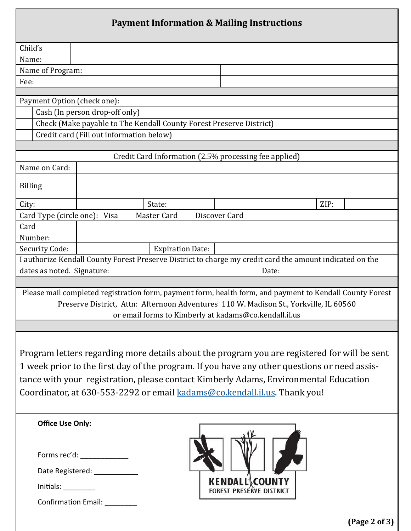| <b>Payment Information &amp; Mailing Instructions</b>                                                                                                                                                                                                                                                                                                             |                                                                                                          |  |  |  |  |  |
|-------------------------------------------------------------------------------------------------------------------------------------------------------------------------------------------------------------------------------------------------------------------------------------------------------------------------------------------------------------------|----------------------------------------------------------------------------------------------------------|--|--|--|--|--|
| Child's                                                                                                                                                                                                                                                                                                                                                           |                                                                                                          |  |  |  |  |  |
| Name:                                                                                                                                                                                                                                                                                                                                                             |                                                                                                          |  |  |  |  |  |
| Name of Program:                                                                                                                                                                                                                                                                                                                                                  |                                                                                                          |  |  |  |  |  |
| Fee:                                                                                                                                                                                                                                                                                                                                                              |                                                                                                          |  |  |  |  |  |
| Payment Option (check one):                                                                                                                                                                                                                                                                                                                                       |                                                                                                          |  |  |  |  |  |
|                                                                                                                                                                                                                                                                                                                                                                   | Cash (In person drop-off only)                                                                           |  |  |  |  |  |
|                                                                                                                                                                                                                                                                                                                                                                   | Check (Make payable to The Kendall County Forest Preserve District)                                      |  |  |  |  |  |
|                                                                                                                                                                                                                                                                                                                                                                   | Credit card (Fill out information below)                                                                 |  |  |  |  |  |
|                                                                                                                                                                                                                                                                                                                                                                   |                                                                                                          |  |  |  |  |  |
|                                                                                                                                                                                                                                                                                                                                                                   | Credit Card Information (2.5% processing fee applied)                                                    |  |  |  |  |  |
| Name on Card:                                                                                                                                                                                                                                                                                                                                                     |                                                                                                          |  |  |  |  |  |
| <b>Billing</b>                                                                                                                                                                                                                                                                                                                                                    |                                                                                                          |  |  |  |  |  |
| City:                                                                                                                                                                                                                                                                                                                                                             | State:<br>ZIP:                                                                                           |  |  |  |  |  |
| Card Type (circle one): Visa                                                                                                                                                                                                                                                                                                                                      | Master Card<br>Discover Card                                                                             |  |  |  |  |  |
| Card                                                                                                                                                                                                                                                                                                                                                              |                                                                                                          |  |  |  |  |  |
| Number:                                                                                                                                                                                                                                                                                                                                                           |                                                                                                          |  |  |  |  |  |
| Security Code:                                                                                                                                                                                                                                                                                                                                                    | <b>Expiration Date:</b>                                                                                  |  |  |  |  |  |
|                                                                                                                                                                                                                                                                                                                                                                   | I authorize Kendall County Forest Preserve District to charge my credit card the amount indicated on the |  |  |  |  |  |
| dates as noted. Signature:                                                                                                                                                                                                                                                                                                                                        | Date:                                                                                                    |  |  |  |  |  |
| Please mail completed registration form, payment form, health form, and payment to Kendall County Forest<br>Preserve District, Attn: Afternoon Adventures 110 W. Madison St., Yorkville, IL 60560<br>or email forms to Kimberly at kadams@co.kendall.il.us                                                                                                        |                                                                                                          |  |  |  |  |  |
| Program letters regarding more details about the program you are registered for will be sent<br>1 week prior to the first day of the program. If you have any other questions or need assis-<br>tance with your registration, please contact Kimberly Adams, Environmental Education<br>Coordinator, at 630-553-2292 or email kadams@co.kendall.il.us. Thank you! |                                                                                                          |  |  |  |  |  |
| <b>Office Use Only:</b><br>Initials:                                                                                                                                                                                                                                                                                                                              | Forms rec'd: _____________<br>Date Registered: ___________<br><b>KENDALL COUNTY</b>                      |  |  |  |  |  |
| Confirmation Email: ________                                                                                                                                                                                                                                                                                                                                      |                                                                                                          |  |  |  |  |  |